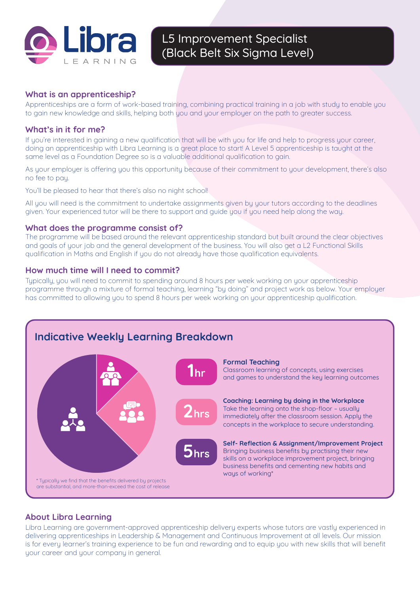

# **Burnley Football L5 Improvement Specialist Analysis (Black Belt Six Sigma Level)**

# What is an apprenticeship?

Apprenticeships are a form of work-based training, combining practical training in a job with study to enable you to gain new knowledge and skills, helping both you and your employer on the path to greater success.

# What's in it for me?

If you're interested in gaining a new qualification that will be with you for life and help to progress your career, doing an apprenticeship with Libra Learning is a great place to start! A Level 5 apprenticeship is taught at the same level as a Foundation Degree so is a valuable additional qualification to gain.

As your employer is offering you this opportunity because of their commitment to your development, there's also no fee to pay.

You'll be pleased to hear that there's also no night school!

All you will need is the commitment to undertake assignments given by your tutors according to the deadlines given. Your experienced tutor will be there to support and guide you if you need help along the way.

#### What does the programme consist of?

The programme will be based around the relevant apprenticeship standard but built around the clear objectives and goals of your job and the general development of the business. You will also get a L2 Functional Skills qualification in Maths and English if you do not already have those qualification equivalents.

#### How much time will I need to commit?

Typically, you will need to commit to spending around 8 hours per week working on your apprenticeship programme through a mixture of formal teaching, learning "by doing" and project work as below. Your employer has committed to allowing you to spend 8 hours per week working on your apprenticeship qualification.



# About Libra Learning

Libra Learning are government-approved apprenticeship delivery experts whose tutors are vastly experienced in delivering apprenticeships in Leadership & Management and Continuous Improvement at all levels. Our mission is for every learner's training experience to be fun and rewarding and to equip you with new skills that will benefit your career and your company in general.